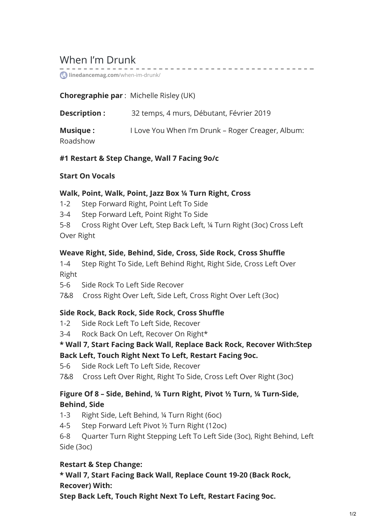# When I'm Drunk

**[linedancemag.com](https://www.linedancemag.com/when-im-drunk/)**/when-im-drunk/

### **Choregraphie par** : Michelle Risley (UK)

| Description :   | 32 temps, 4 murs, Débutant, Février 2019          |
|-----------------|---------------------------------------------------|
| <b>Musique:</b> | I Love You When I'm Drunk - Roger Creager, Album: |
| Roadshow        |                                                   |

. <u>. . . . . . . . . . . . . .</u> .

### **#1 Restart & Step Change, Wall 7 Facing 9o/c**

#### **Start On Vocals**

#### **Walk, Point, Walk, Point, Jazz Box ¼ Turn Right, Cross**

- 1-2 Step Forward Right, Point Left To Side
- 3-4 Step Forward Left, Point Right To Side
- 5-8 Cross Right Over Left, Step Back Left, ¼ Turn Right (3oc) Cross Left Over Right

### **Weave Right, Side, Behind, Side, Cross, Side Rock, Cross Shuffle**

1-4 Step Right To Side, Left Behind Right, Right Side, Cross Left Over Right

5-6 Side Rock To Left Side Recover

7&8 Cross Right Over Left, Side Left, Cross Right Over Left (3oc)

## **Side Rock, Back Rock, Side Rock, Cross Shuffle**

- 1-2 Side Rock Left To Left Side, Recover
- 3-4 Rock Back On Left, Recover On Right\*

## **\* Wall 7, Start Facing Back Wall, Replace Back Rock, Recover With:Step Back Left, Touch Right Next To Left, Restart Facing 9oc.**

5-6 Side Rock Left To Left Side, Recover

7&8 Cross Left Over Right, Right To Side, Cross Left Over Right (3oc)

## **Figure Of 8 – Side, Behind, ¼ Turn Right, Pivot ½ Turn, ¼ Turn-Side, Behind, Side**

- 1-3 Right Side, Left Behind, ¼ Turn Right (6oc)
- 4-5 Step Forward Left Pivot ½ Turn Right (12oc)

6-8 Quarter Turn Right Stepping Left To Left Side (3oc), Right Behind, Left Side (3oc)

## **Restart & Step Change:**

**\* Wall 7, Start Facing Back Wall, Replace Count 19-20 (Back Rock, Recover) With:**

**Step Back Left, Touch Right Next To Left, Restart Facing 9oc.**